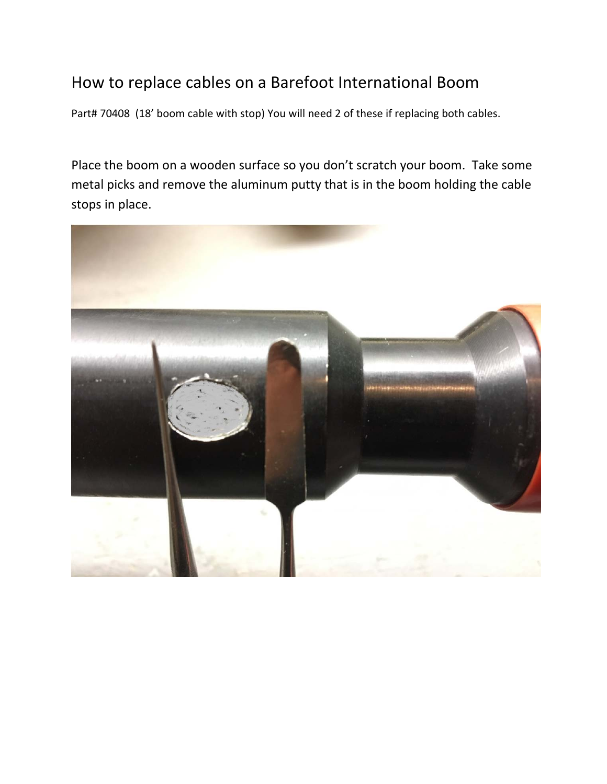## How to replace cables on a Barefoot International Boom

Part# 70408 (18' boom cable with stop) You will need 2 of these if replacing both cables.

Place the boom on a wooden surface so you don't scratch your boom. Take some metal picks and remove the aluminum putty that is in the boom holding the cable stops in place.

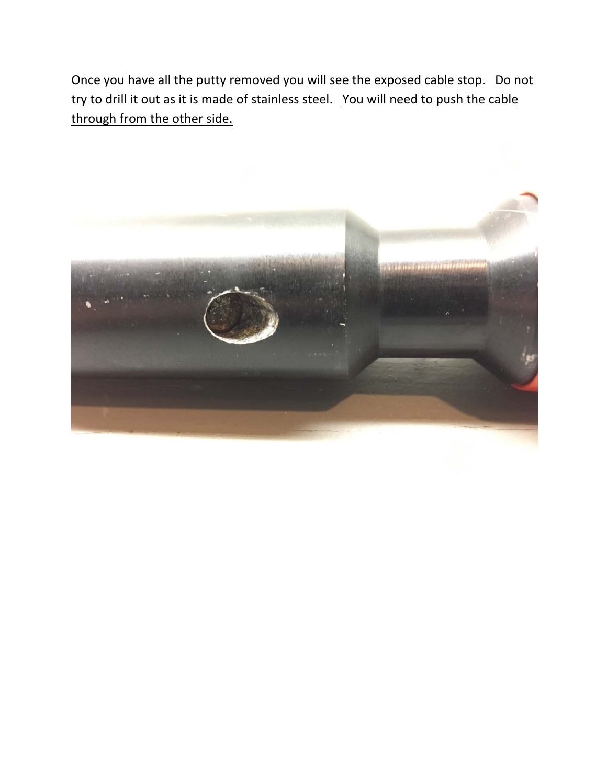Once you have all the putty removed you will see the exposed cable stop. Do not try to drill it out as it is made of stainless steel. You will need to push the cable through from the other side.

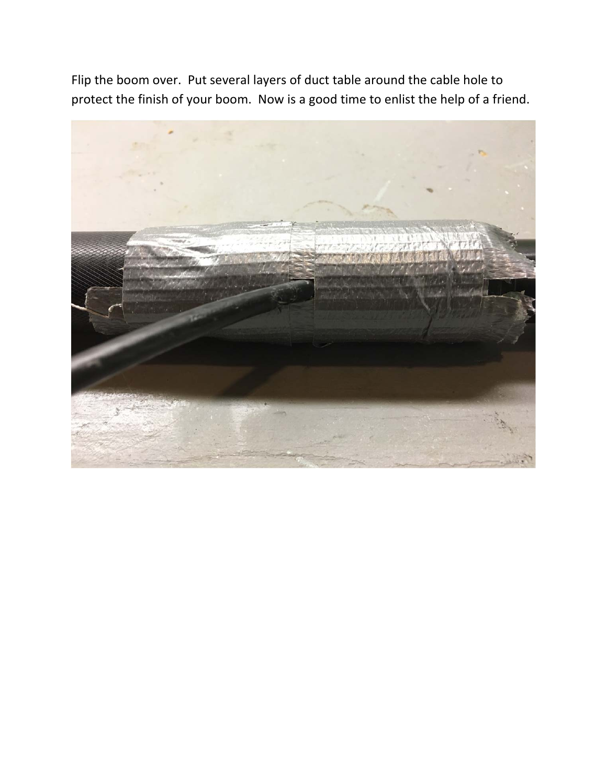Flip the boom over. Put several layers of duct table around the cable hole to protect the finish of your boom. Now is a good time to enlist the help of a friend.

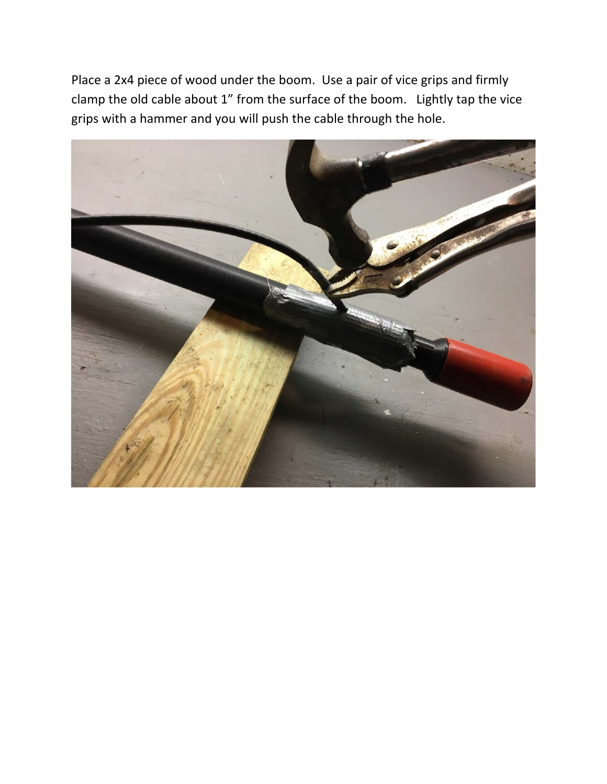Place a 2x4 piece of wood under the boom. Use a pair of vice grips and firmly clamp the old cable about 1" from the surface of the boom. Lightly tap the vice grips with a hammer and you will push the cable through the hole.

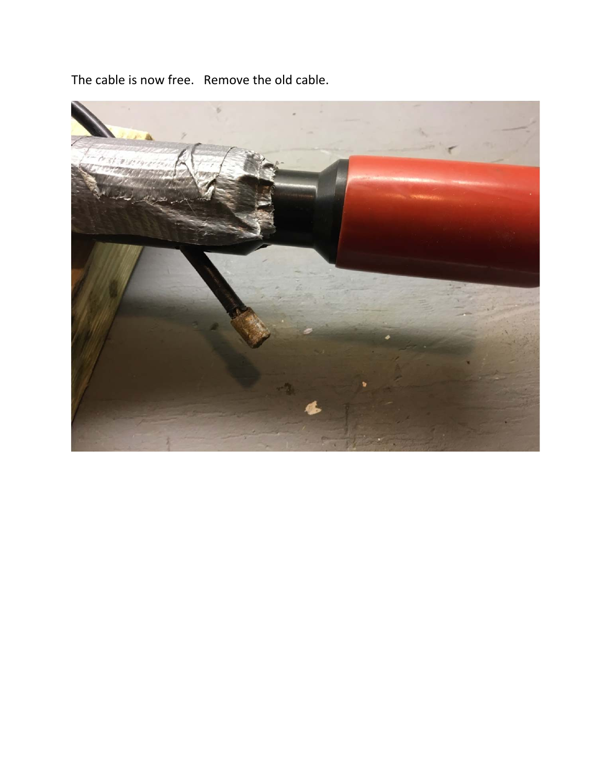The cable is now free. Remove the old cable.

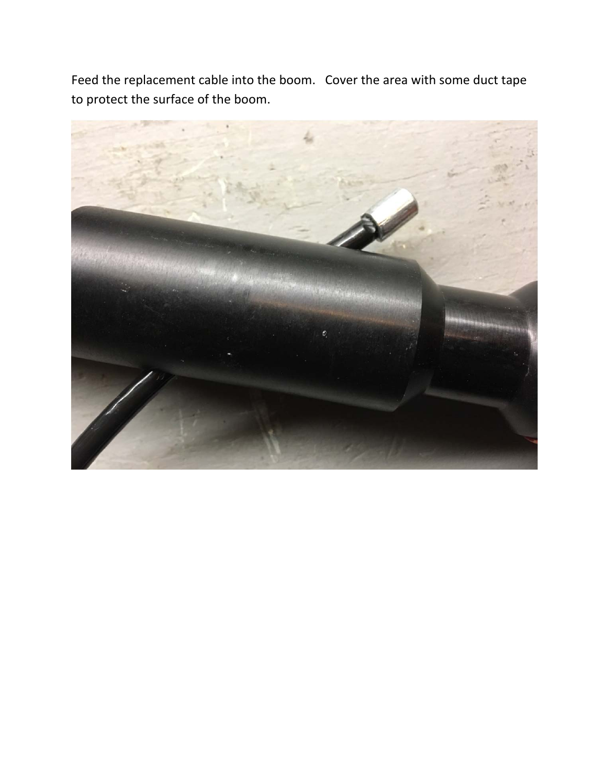Feed the replacement cable into the boom. Cover the area with some duct tape to protect the surface of the boom.

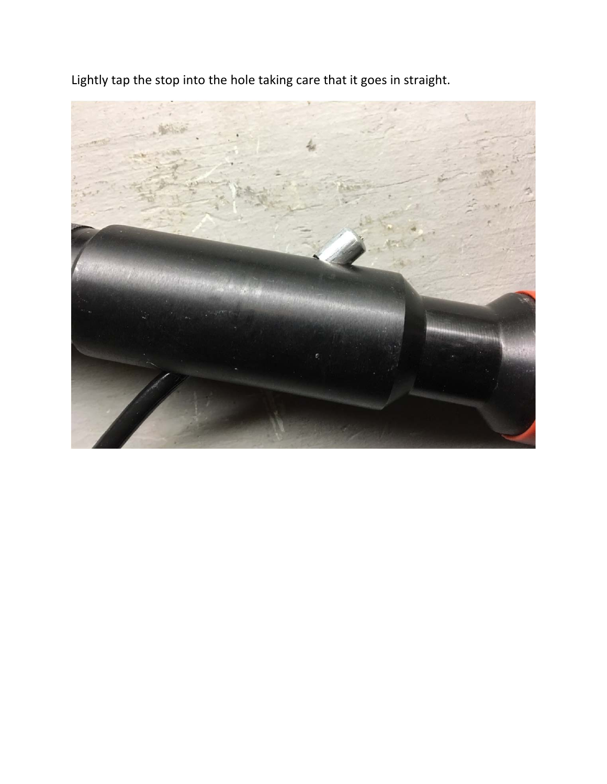Lightly tap the stop into the hole taking care that it goes in straight.